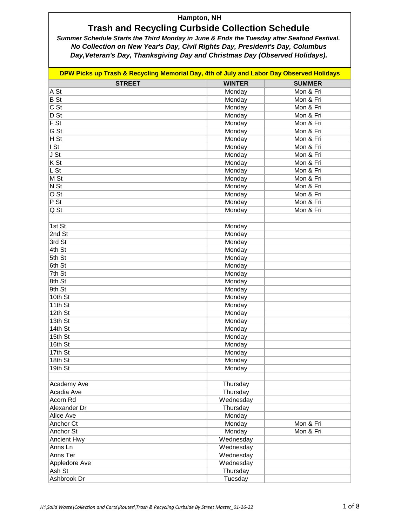# **Trash and Recycling Curbside Collection Schedule**

| DPW Picks up Trash & Recycling Memorial Day, 4th of July and Labor Day Observed Holidays |                       |               |  |
|------------------------------------------------------------------------------------------|-----------------------|---------------|--|
| <b>STREET</b>                                                                            | <b>WINTER</b>         | <b>SUMMER</b> |  |
| A St                                                                                     | Monday                | Mon & Fri     |  |
| <b>B</b> St                                                                              | Monday                | Mon & Fri     |  |
| $\overline{CSt}$                                                                         | Monday                | Mon & Fri     |  |
| D St                                                                                     | Monday                | Mon & Fri     |  |
| F S t                                                                                    | Monday                | Mon & Fri     |  |
| $\overline{G St}$                                                                        | Monday                | Mon & Fri     |  |
| H S t                                                                                    | Monday                | Mon & Fri     |  |
| I St                                                                                     | Monday                | Mon & Fri     |  |
| JSt                                                                                      | Monday                | Mon & Fri     |  |
| $\overline{\mathsf{K} \mathsf{S} \mathsf{t}}$                                            | Monday                | Mon & Fri     |  |
| $L$ St                                                                                   | Monday                | Mon & Fri     |  |
| M St                                                                                     | Monday                | Mon & Fri     |  |
| N St                                                                                     | Monday                | Mon & Fri     |  |
| $\overline{O St}$                                                                        | Monday                | Mon & Fri     |  |
| P St                                                                                     | Monday                | Mon & Fri     |  |
| Q St                                                                                     | Monday                | Mon & Fri     |  |
|                                                                                          |                       |               |  |
| 1st St                                                                                   | Monday                |               |  |
| 2nd St                                                                                   | Monday                |               |  |
| 3rd St                                                                                   | Monday                |               |  |
| 4th St                                                                                   | Monday                |               |  |
| 5th St                                                                                   | Monday                |               |  |
| 6th St                                                                                   | Monday                |               |  |
| 7th St                                                                                   | Monday                |               |  |
| 8th St                                                                                   | Monday                |               |  |
| 9th St                                                                                   | Monday                |               |  |
| 10th St                                                                                  | Monday                |               |  |
| 11th St                                                                                  | Monday                |               |  |
| 12th St                                                                                  | Monday                |               |  |
| 13th St                                                                                  | Monday                |               |  |
| 14th St                                                                                  | Monday                |               |  |
| 15th St                                                                                  | Monday                |               |  |
| 16th St                                                                                  | Monday                |               |  |
| 17th St                                                                                  | Monday                |               |  |
| 18th St                                                                                  | Monday                |               |  |
| 19th St                                                                                  | Monday                |               |  |
|                                                                                          |                       |               |  |
| Academy Ave                                                                              | Thursday              |               |  |
| Acadia Ave                                                                               |                       |               |  |
| <b>Acorn Rd</b>                                                                          | Thursday<br>Wednesday |               |  |
| Alexander Dr                                                                             | Thursday              |               |  |
|                                                                                          |                       |               |  |
| Alice Ave                                                                                | Monday                |               |  |
| Anchor Ct                                                                                | Monday                | Mon & Fri     |  |
| Anchor St                                                                                | Monday                | Mon & Fri     |  |
| <b>Ancient Hwy</b>                                                                       | Wednesday             |               |  |
| Anns Ln                                                                                  | Wednesday             |               |  |
| Anns Ter                                                                                 | Wednesday             |               |  |
| Appledore Ave                                                                            | Wednesday             |               |  |
| Ash St                                                                                   | Thursday              |               |  |
| Ashbrook Dr                                                                              | Tuesday               |               |  |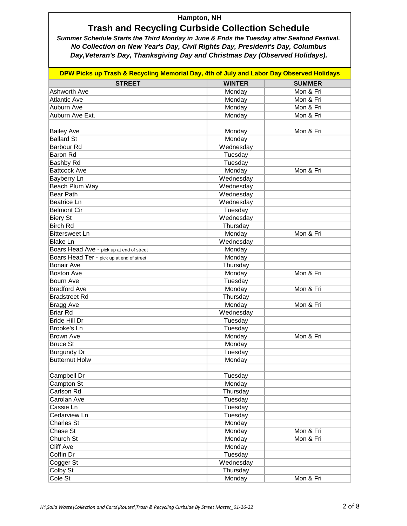# **Trash and Recycling Curbside Collection Schedule**

| DPW Picks up Trash & Recycling Memorial Day, 4th of July and Labor Day Observed Holidays |               |               |  |
|------------------------------------------------------------------------------------------|---------------|---------------|--|
| <b>STREET</b>                                                                            | <b>WINTER</b> | <b>SUMMER</b> |  |
| Ashworth Ave                                                                             | Monday        | Mon & Fri     |  |
| <b>Atlantic Ave</b>                                                                      | Monday        | Mon & Fri     |  |
| Auburn Ave                                                                               | Monday        | Mon & Fri     |  |
| Auburn Ave Ext.                                                                          | Monday        | Mon & Fri     |  |
|                                                                                          |               |               |  |
| <b>Bailey Ave</b>                                                                        | Monday        | Mon & Fri     |  |
| <b>Ballard St</b>                                                                        | Monday        |               |  |
| <b>Barbour Rd</b>                                                                        | Wednesday     |               |  |
| Baron Rd                                                                                 | Tuesday       |               |  |
| Bashby Rd                                                                                | Tuesday       |               |  |
| <b>Battcock Ave</b>                                                                      | Monday        | Mon & Fri     |  |
| Bayberry Ln                                                                              | Wednesday     |               |  |
| Beach Plum Way                                                                           | Wednesday     |               |  |
| <b>Bear Path</b>                                                                         | Wednesday     |               |  |
| Beatrice Ln                                                                              | Wednesday     |               |  |
| <b>Belmont Cir</b>                                                                       | Tuesday       |               |  |
| <b>Biery St</b>                                                                          | Wednesday     |               |  |
| <b>Birch Rd</b>                                                                          | Thursday      |               |  |
| <b>Bittersweet Ln</b>                                                                    | Monday        | Mon & Fri     |  |
| <b>Blake Ln</b>                                                                          | Wednesday     |               |  |
| Boars Head Ave - pick up at end of street                                                | Monday        |               |  |
| Boars Head Ter - pick up at end of street                                                | Monday        |               |  |
| <b>Bonair Ave</b>                                                                        | Thursday      |               |  |
| <b>Boston Ave</b>                                                                        | Monday        | Mon & Fri     |  |
| Bourn Ave                                                                                | Tuesday       |               |  |
| <b>Bradford Ave</b>                                                                      | Monday        | Mon & Fri     |  |
| <b>Bradstreet Rd</b>                                                                     | Thursday      |               |  |
| Bragg Ave                                                                                | Monday        | Mon & Fri     |  |
| <b>Briar Rd</b>                                                                          | Wednesday     |               |  |
| <b>Bride Hill Dr</b>                                                                     | Tuesday       |               |  |
| Brooke's Ln                                                                              | Tuesday       |               |  |
| <b>Brown Ave</b>                                                                         | Monday        | Mon & Fri     |  |
| <b>Bruce St</b>                                                                          | Monday        |               |  |
| <b>Burgundy Dr</b>                                                                       | Tuesday       |               |  |
| <b>Butternut Holw</b>                                                                    | Monday        |               |  |
|                                                                                          |               |               |  |
| Campbell Dr                                                                              | Tuesday       |               |  |
| Campton St                                                                               | Monday        |               |  |
| Carlson Rd                                                                               | Thursday      |               |  |
| Carolan Ave                                                                              | Tuesday       |               |  |
| Cassie Ln                                                                                | Tuesday       |               |  |
| Cedarview Ln                                                                             | Tuesday       |               |  |
| <b>Charles St</b>                                                                        | Monday        |               |  |
| Chase St                                                                                 | Monday        | Mon & Fri     |  |
| Church St                                                                                | Monday        | Mon & Fri     |  |
| <b>Cliff Ave</b>                                                                         | Monday        |               |  |
| Coffin Dr                                                                                | Tuesday       |               |  |
| Cogger St                                                                                | Wednesday     |               |  |
| Colby St                                                                                 | Thursday      |               |  |
| Cole St                                                                                  | Monday        | Mon & Fri     |  |
|                                                                                          |               |               |  |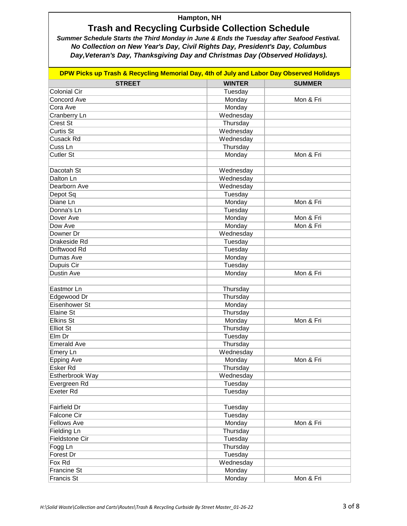# **Trash and Recycling Curbside Collection Schedule**

| DPW Picks up Trash & Recycling Memorial Day, 4th of July and Labor Day Observed Holidays |               |               |  |
|------------------------------------------------------------------------------------------|---------------|---------------|--|
| <b>STREET</b>                                                                            | <b>WINTER</b> | <b>SUMMER</b> |  |
| <b>Colonial Cir</b>                                                                      | Tuesday       |               |  |
| <b>Concord Ave</b>                                                                       | Monday        | Mon & Fri     |  |
| Cora Ave                                                                                 | Monday        |               |  |
| Cranberry Ln                                                                             | Wednesday     |               |  |
| Crest St                                                                                 | Thursday      |               |  |
| <b>Curtis St</b>                                                                         | Wednesday     |               |  |
| Cusack Rd                                                                                | Wednesday     |               |  |
| Cuss <sub>Ln</sub>                                                                       | Thursday      |               |  |
| <b>Cutler St</b>                                                                         | Monday        | Mon & Fri     |  |
|                                                                                          |               |               |  |
| Dacotah St                                                                               | Wednesday     |               |  |
| Dalton Ln                                                                                | Wednesday     |               |  |
| Dearborn Ave                                                                             | Wednesday     |               |  |
| Depot Sq                                                                                 | Tuesday       |               |  |
| Diane Ln                                                                                 | Monday        | Mon & Fri     |  |
| Donna's Ln                                                                               | Tuesday       |               |  |
| Dover Ave                                                                                | Monday        | Mon & Fri     |  |
| Dow Ave                                                                                  | Monday        | Mon & Fri     |  |
| Downer Dr                                                                                | Wednesday     |               |  |
| Drakeside Rd                                                                             | Tuesday       |               |  |
| Driftwood Rd                                                                             | Tuesday       |               |  |
| Dumas Ave                                                                                | Monday        |               |  |
| Dupuis Cir                                                                               | Tuesday       |               |  |
| Dustin Ave                                                                               | Monday        | Mon & Fri     |  |
|                                                                                          |               |               |  |
| Eastmor Ln                                                                               | Thursday      |               |  |
| Edgewood Dr                                                                              | Thursday      |               |  |
| Eisenhower St                                                                            | Monday        |               |  |
| Elaine St                                                                                | Thursday      |               |  |
| <b>Elkins St</b>                                                                         | Monday        | Mon & Fri     |  |
| <b>Elliot St</b>                                                                         | Thursday      |               |  |
| Elm Dr                                                                                   | Tuesday       |               |  |
| <b>Emerald Ave</b>                                                                       | Thursday      |               |  |
| Emery Ln                                                                                 | Wednesday     |               |  |
| <b>Epping Ave</b>                                                                        | Monday        | Mon & Fri     |  |
| Esker Rd                                                                                 | Thursday      |               |  |
| Estherbrook Way                                                                          | Wednesday     |               |  |
| Evergreen Rd                                                                             | Tuesday       |               |  |
| <b>Exeter Rd</b>                                                                         | Tuesday       |               |  |
|                                                                                          |               |               |  |
| Fairfield Dr                                                                             | Tuesday       |               |  |
| <b>Falcone Cir</b>                                                                       | Tuesday       |               |  |
| <b>Fellows Ave</b>                                                                       | Monday        | Mon & Fri     |  |
| Fielding Ln                                                                              | Thursday      |               |  |
| Fieldstone Cir                                                                           | Tuesday       |               |  |
| Fogg Ln                                                                                  | Thursday      |               |  |
| Forest Dr                                                                                | Tuesday       |               |  |
| Fox Rd                                                                                   | Wednesday     |               |  |
| <b>Francine St</b>                                                                       | Monday        |               |  |
| Francis St                                                                               | Monday        | Mon & Fri     |  |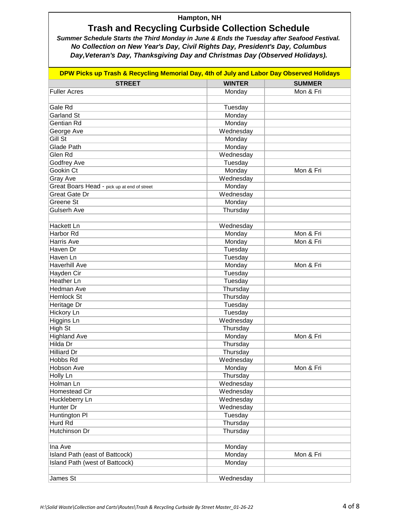# **Trash and Recycling Curbside Collection Schedule**

| DPW Picks up Trash & Recycling Memorial Day, 4th of July and Labor Day Observed Holidays |               |               |  |
|------------------------------------------------------------------------------------------|---------------|---------------|--|
| <b>STREET</b>                                                                            | <b>WINTER</b> | <b>SUMMER</b> |  |
| <b>Fuller Acres</b>                                                                      | Monday        | Mon & Fri     |  |
|                                                                                          |               |               |  |
| Gale Rd                                                                                  | Tuesday       |               |  |
| Garland St                                                                               | Monday        |               |  |
| Gentian Rd                                                                               | Monday        |               |  |
| George Ave                                                                               | Wednesday     |               |  |
| Gill St                                                                                  | Monday        |               |  |
| Glade Path                                                                               | Monday        |               |  |
| Glen Rd                                                                                  | Wednesday     |               |  |
| <b>Godfrey Ave</b>                                                                       | Tuesday       |               |  |
| Gookin Ct                                                                                | Monday        | Mon & Fri     |  |
| Gray Ave                                                                                 | Wednesday     |               |  |
| Great Boars Head - pick up at end of street                                              | Monday        |               |  |
| Great Gate Dr                                                                            | Wednesday     |               |  |
| Greene St                                                                                | Monday        |               |  |
| Gulserh Ave                                                                              | Thursday      |               |  |
|                                                                                          |               |               |  |
| Hackett Ln                                                                               | Wednesday     |               |  |
| Harbor Rd                                                                                | Monday        | Mon & Fri     |  |
| Harris Ave                                                                               | Monday        | Mon & Fri     |  |
| Haven Dr                                                                                 | Tuesday       |               |  |
| Haven Ln                                                                                 | Tuesday       |               |  |
| <b>Haverhill Ave</b>                                                                     | Monday        | Mon & Fri     |  |
| Hayden Cir                                                                               | Tuesday       |               |  |
| Heather Ln                                                                               | Tuesday       |               |  |
| Hedman Ave                                                                               | Thursday      |               |  |
| Hemlock St                                                                               | Thursday      |               |  |
| Heritage Dr                                                                              | Tuesday       |               |  |
| Hickory Ln                                                                               | Tuesday       |               |  |
| Higgins Ln                                                                               | Wednesday     |               |  |
| High St                                                                                  | Thursday      |               |  |
| <b>Highland Ave</b>                                                                      | Monday        | Mon & Fri     |  |
| Hilda Dr                                                                                 | Thursday      |               |  |
| <b>Hilliard Dr</b>                                                                       | Thursday      |               |  |
| Hobbs Rd                                                                                 | Wednesday     |               |  |
| Hobson Ave                                                                               | Monday        | Mon & Fri     |  |
| Holly Ln                                                                                 | Thursday      |               |  |
| Holman Ln                                                                                | Wednesday     |               |  |
| Homestead Cir                                                                            | Wednesday     |               |  |
| Huckleberry Ln                                                                           | Wednesday     |               |  |
| Hunter Dr                                                                                | Wednesday     |               |  |
| Huntington PI                                                                            | Tuesday       |               |  |
| Hurd Rd                                                                                  | Thursday      |               |  |
| <b>Hutchinson Dr</b>                                                                     | Thursday      |               |  |
|                                                                                          |               |               |  |
| Ina Ave                                                                                  | Monday        |               |  |
| Island Path (east of Battcock)                                                           | Monday        | Mon & Fri     |  |
| Island Path (west of Battcock)                                                           | Monday        |               |  |
|                                                                                          |               |               |  |
| James St                                                                                 | Wednesday     |               |  |
|                                                                                          |               |               |  |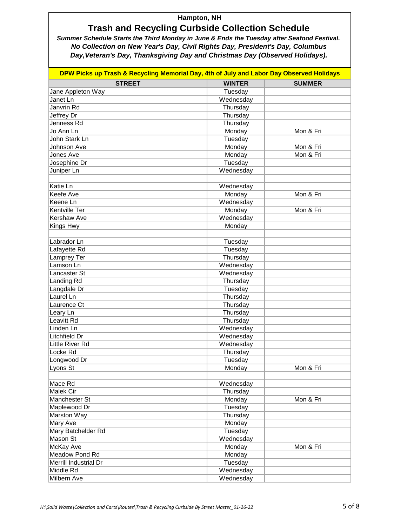# **Trash and Recycling Curbside Collection Schedule**

| DPW Picks up Trash & Recycling Memorial Day, 4th of July and Labor Day Observed Holidays |               |               |  |
|------------------------------------------------------------------------------------------|---------------|---------------|--|
| <b>STREET</b>                                                                            | <b>WINTER</b> | <b>SUMMER</b> |  |
| Jane Appleton Way                                                                        | Tuesday       |               |  |
| Janet Ln                                                                                 | Wednesday     |               |  |
| Janvrin Rd                                                                               | Thursday      |               |  |
| Jeffrey Dr                                                                               | Thursday      |               |  |
| Jenness Rd                                                                               | Thursday      |               |  |
| Jo Ann Ln                                                                                | Monday        | Mon & Fri     |  |
| John Stark Ln                                                                            | Tuesday       |               |  |
| Johnson Ave                                                                              | Monday        | Mon & Fri     |  |
| Jones Ave                                                                                | Monday        | Mon & Fri     |  |
| Josephine Dr                                                                             | Tuesday       |               |  |
| Juniper Ln                                                                               | Wednesday     |               |  |
|                                                                                          |               |               |  |
| Katie Ln                                                                                 | Wednesday     |               |  |
| Keefe Ave                                                                                | Monday        | Mon & Fri     |  |
| Keene Ln                                                                                 | Wednesday     |               |  |
| Kentville Ter                                                                            | Monday        | Mon & Fri     |  |
| Kershaw Ave                                                                              | Wednesday     |               |  |
| Kings Hwy                                                                                | Monday        |               |  |
|                                                                                          |               |               |  |
| Labrador Ln                                                                              | Tuesday       |               |  |
| Lafayette Rd                                                                             | Tuesday       |               |  |
| Lamprey Ter                                                                              | Thursday      |               |  |
| Lamson Ln                                                                                | Wednesday     |               |  |
| Lancaster St                                                                             | Wednesday     |               |  |
| Landing Rd                                                                               | Thursday      |               |  |
| Langdale Dr                                                                              | Tuesday       |               |  |
| Laurel Ln                                                                                | Thursday      |               |  |
| Laurence Ct                                                                              | Thursday      |               |  |
| Leary Ln                                                                                 | Thursday      |               |  |
| Leavitt Rd                                                                               | Thursday      |               |  |
| Linden Ln                                                                                | Wednesday     |               |  |
| <b>Litchfield Dr</b>                                                                     | Wednesday     |               |  |
| Little River Rd                                                                          | Wednesday     |               |  |
| Locke Rd                                                                                 | Thursday      |               |  |
| Longwood Dr                                                                              | Tuesday       |               |  |
| Lyons St                                                                                 | Monday        | Mon & Fri     |  |
|                                                                                          |               |               |  |
| Mace Rd                                                                                  | Wednesday     |               |  |
| Malek Cir                                                                                | Thursday      |               |  |
| Manchester St                                                                            | Monday        | Mon & Fri     |  |
| Maplewood Dr                                                                             | Tuesday       |               |  |
| Marston Way                                                                              | Thursday      |               |  |
| Mary Ave                                                                                 | Monday        |               |  |
| Mary Batchelder Rd                                                                       | Tuesday       |               |  |
| Mason St                                                                                 | Wednesday     |               |  |
| McKay Ave                                                                                | Monday        | Mon & Fri     |  |
| Meadow Pond Rd                                                                           | Monday        |               |  |
| Merrill Industrial Dr                                                                    | Tuesday       |               |  |
| Middle Rd                                                                                | Wednesday     |               |  |
| Milbern Ave                                                                              | Wednesday     |               |  |
|                                                                                          |               |               |  |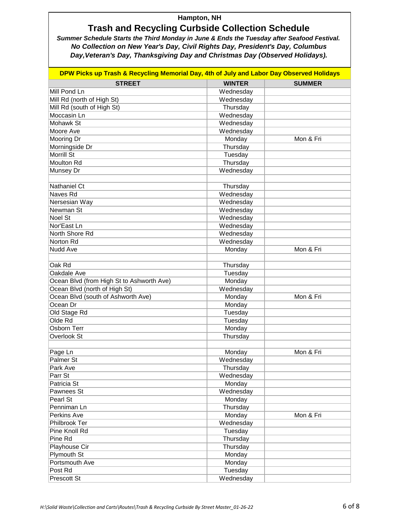# **Trash and Recycling Curbside Collection Schedule**

| DPW Picks up Trash & Recycling Memorial Day, 4th of July and Labor Day Observed Holidays |               |               |  |
|------------------------------------------------------------------------------------------|---------------|---------------|--|
| <b>STREET</b>                                                                            | <b>WINTER</b> | <b>SUMMER</b> |  |
| Mill Pond Ln                                                                             | Wednesday     |               |  |
| Mill Rd (north of High St)                                                               | Wednesday     |               |  |
| Mill Rd (south of High St)                                                               | Thursday      |               |  |
| Moccasin Ln                                                                              | Wednesday     |               |  |
| Mohawk St                                                                                | Wednesday     |               |  |
| Moore Ave                                                                                | Wednesday     |               |  |
| Mooring Dr                                                                               | Monday        | Mon & Fri     |  |
| Morningside Dr                                                                           | Thursday      |               |  |
| Morrill St                                                                               | Tuesday       |               |  |
| <b>Moulton Rd</b>                                                                        | Thursday      |               |  |
| Munsey Dr                                                                                | Wednesday     |               |  |
|                                                                                          |               |               |  |
| Nathaniel Ct                                                                             | Thursday      |               |  |
| Naves Rd                                                                                 | Wednesday     |               |  |
| Nersesian Way                                                                            | Wednesday     |               |  |
| Newman St                                                                                | Wednesday     |               |  |
| Noel St                                                                                  | Wednesday     |               |  |
| Nor'East Ln                                                                              | Wednesday     |               |  |
| North Shore Rd                                                                           | Wednesday     |               |  |
| Norton Rd                                                                                | Wednesday     |               |  |
| Nudd Ave                                                                                 | Monday        | Mon & Fri     |  |
|                                                                                          |               |               |  |
| Oak Rd                                                                                   | Thursday      |               |  |
| Oakdale Ave                                                                              | Tuesday       |               |  |
| Ocean Blvd (from High St to Ashworth Ave)                                                | Monday        |               |  |
| Ocean Blvd (north of High St)                                                            | Wednesday     |               |  |
| Ocean Blvd (south of Ashworth Ave)                                                       | Monday        | Mon & Fri     |  |
| Ocean Dr                                                                                 | Monday        |               |  |
| Old Stage Rd                                                                             | Tuesday       |               |  |
| Olde Rd                                                                                  | Tuesday       |               |  |
| Osborn Terr                                                                              | Monday        |               |  |
| Overlook St                                                                              | Thursday      |               |  |
|                                                                                          |               |               |  |
| Page Ln                                                                                  | Monday        | Mon & Fri     |  |
| Palmer St                                                                                | Wednesday     |               |  |
| Park Ave                                                                                 | Thursday      |               |  |
| Parr St                                                                                  | Wednesday     |               |  |
| Patricia St                                                                              | Monday        |               |  |
| Pawnees St                                                                               | Wednesday     |               |  |
| Pearl St                                                                                 | Monday        |               |  |
| Penniman Ln                                                                              | Thursday      |               |  |
| Perkins Ave                                                                              | Monday        | Mon & Fri     |  |
| Philbrook Ter                                                                            | Wednesday     |               |  |
| Pine Knoll Rd                                                                            | Tuesday       |               |  |
| Pine Rd                                                                                  | Thursday      |               |  |
| Playhouse Cir                                                                            | Thursday      |               |  |
| <b>Plymouth St</b>                                                                       | Monday        |               |  |
| Portsmouth Ave                                                                           | Monday        |               |  |
| Post Rd                                                                                  | Tuesday       |               |  |
| Prescott St                                                                              | Wednesday     |               |  |
|                                                                                          |               |               |  |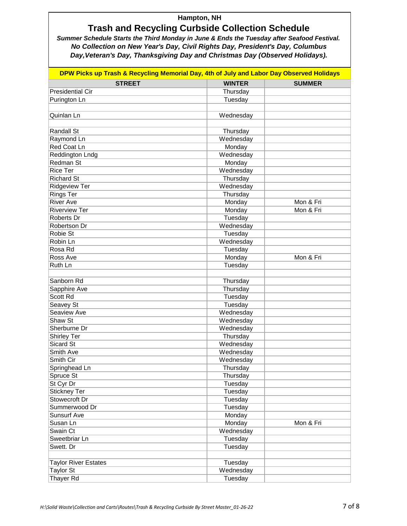# **Trash and Recycling Curbside Collection Schedule**

| DPW Picks up Trash & Recycling Memorial Day, 4th of July and Labor Day Observed Holidays |               |               |  |
|------------------------------------------------------------------------------------------|---------------|---------------|--|
| <b>STREET</b>                                                                            | <b>WINTER</b> | <b>SUMMER</b> |  |
| <b>Presidential Cir</b>                                                                  | Thursday      |               |  |
| Purington Ln                                                                             | Tuesday       |               |  |
|                                                                                          |               |               |  |
| Quinlan Ln                                                                               | Wednesday     |               |  |
|                                                                                          |               |               |  |
| Randall St                                                                               | Thursday      |               |  |
| Raymond Ln                                                                               | Wednesday     |               |  |
| Red Coat Ln                                                                              | Monday        |               |  |
| <b>Reddington Lndg</b>                                                                   | Wednesday     |               |  |
| Redman St                                                                                | Monday        |               |  |
| <b>Rice Ter</b>                                                                          | Wednesday     |               |  |
| <b>Richard St</b>                                                                        | Thursday      |               |  |
| <b>Ridgeview Ter</b>                                                                     | Wednesday     |               |  |
| <b>Rings Ter</b>                                                                         | Thursday      |               |  |
| <b>River Ave</b>                                                                         | Monday        | Mon & Fri     |  |
| <b>Riverview Ter</b>                                                                     | Monday        | Mon & Fri     |  |
| Roberts Dr                                                                               | Tuesday       |               |  |
| Robertson Dr                                                                             | Wednesday     |               |  |
| Robie St                                                                                 | Tuesday       |               |  |
| Robin Ln                                                                                 | Wednesday     |               |  |
| Rosa Rd                                                                                  | Tuesday       |               |  |
| Ross Ave                                                                                 | Monday        | Mon & Fri     |  |
| Ruth Ln                                                                                  | Tuesday       |               |  |
|                                                                                          |               |               |  |
| Sanborn Rd                                                                               | Thursday      |               |  |
| Sapphire Ave                                                                             | Thursday      |               |  |
| Scott Rd                                                                                 | Tuesday       |               |  |
| Seavey St                                                                                | Tuesday       |               |  |
| Seaview Ave                                                                              | Wednesday     |               |  |
| Shaw St                                                                                  | Wednesday     |               |  |
| Sherburne Dr                                                                             | Wednesday     |               |  |
| <b>Shirley Ter</b>                                                                       | Thursday      |               |  |
| Sicard St                                                                                | Wednesday     |               |  |
| Smith Ave                                                                                | Wednesday     |               |  |
| Smith Cir                                                                                | Wednesday     |               |  |
| Springhead Ln                                                                            | Thursday      |               |  |
| Spruce St                                                                                | Thursday      |               |  |
| St Cyr Dr                                                                                | Tuesday       |               |  |
| Stickney Ter                                                                             | Tuesday       |               |  |
| Stowecroft Dr                                                                            | Tuesday       |               |  |
| Summerwood Dr                                                                            | Tuesday       |               |  |
| <b>Sunsurf Ave</b>                                                                       | Monday        |               |  |
| Susan Ln                                                                                 | Monday        | Mon & Fri     |  |
| Swain Ct                                                                                 | Wednesday     |               |  |
| Sweetbriar Ln                                                                            | Tuesday       |               |  |
| Swett. Dr                                                                                | Tuesday       |               |  |
|                                                                                          |               |               |  |
| <b>Taylor River Estates</b>                                                              | Tuesday       |               |  |
| <b>Taylor St</b>                                                                         | Wednesday     |               |  |
| Thayer Rd                                                                                | Tuesday       |               |  |